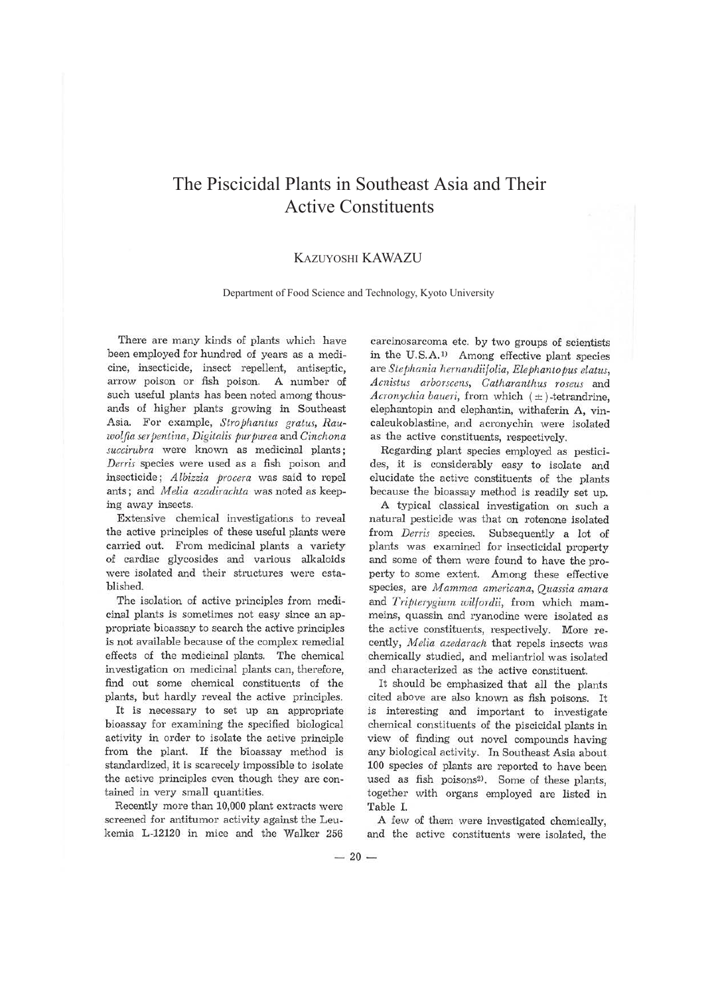## The Piscicidal Plants in Southeast Asia and Their Active Constituents

## KAZUYOSHI KAWAZU

## Department of Food Science and Technology, Kyoto University

There are many kinds of plants which have been employed for hundred of years as a medicine, insecticide, insect repellent, antiseptic, arrow poison or fish poison. A number of such useful plants has been noted among thousands of higher plants growing in Southeast Asia. For example, *Strophantus gratus*, Rau $i$ *wolfia ser pentina, Digitalis pur purea* and *Cinchona succirnbra* were known as medicinal plants; *Derris* species were used as a fish poison and insecticide; *A lbizzia procera* was said to repel ants ; and *Melia azadirachta* was noted as keeping away insects.

Extensive chemical investigations to reveal the active principles of these useful plants were carried out. From medicinal plants a variety of cardiac glycosides and various alkaloids were isolated and their structures were established.

The isolation of active principles from medicinal plants is sometimes not easy since an appropriate bioassay to search the active principles is not available because of the complex remedial effects of the medicinal plants. The chemical investigation on medicinal plants can, therefore, find out some chemical constituents of the plants, but hardly reveal the active principles.

It is necessary to set up an appropriate bioassay for examining the specified biological activity in order to isolate the active principle from the plant. If the bioassay method is standardized, it is scarecely impossible to isolate the active principles even though they are contained in very small quantities.

Recently more than 10,000 plant extracts were screened for antitumor activity against the Leukemia L-12120 in mice and the Walker 256

carcinosarcoma etc. by two groups of scientists in the U.S.A.<sup>1)</sup> Among effective plant species are *Stephania hernandiifolia, Elephantopus elatus, Acnistus arborscens, Catharanthus roseus* and *Acronychia baueri,* from which ( ± )-tetrandrine, elephantopin and elephantin, withaferin A, vincaleukoblastine, and acronychin were isolated as the active constituents, respectively.

Regarding plant species employed as pesticides, it is considerably easy to isolate and elucidate the active constituents of the plants because the bioassay method is readily set up.

A typical classical investigation on such a natural pesticide was that on rotenone isolated from *Derris* species. Subsequently a lot of plants was examined for insecticidal property and some of them were found to have the property to some extent. Among these effective species, are *M ammea americana, Quassia amara*  and *Tripterygium wilfordii,* from which mammeins, quassin and ryanodine were isolated as the active constituents, respectively. More recently, *Melia azedarach* that repels insects was chemically studied, and meliantriol was isolated and characterized as the active constituent.

It should be emphasized that all the plants cited above are also known as fish poisons. It is interesting and important to investigate chemical constituents of the piscicidal plants in view of finding out novel compounds having any biological activity. In Southeast Asia about 100 species of plants are reported to have been used as fish poisons<sup>2)</sup>. Some of these plants, together with organs employed are listed in Table I.

A few of them were investigated chemically, and the active constituents were isolated, the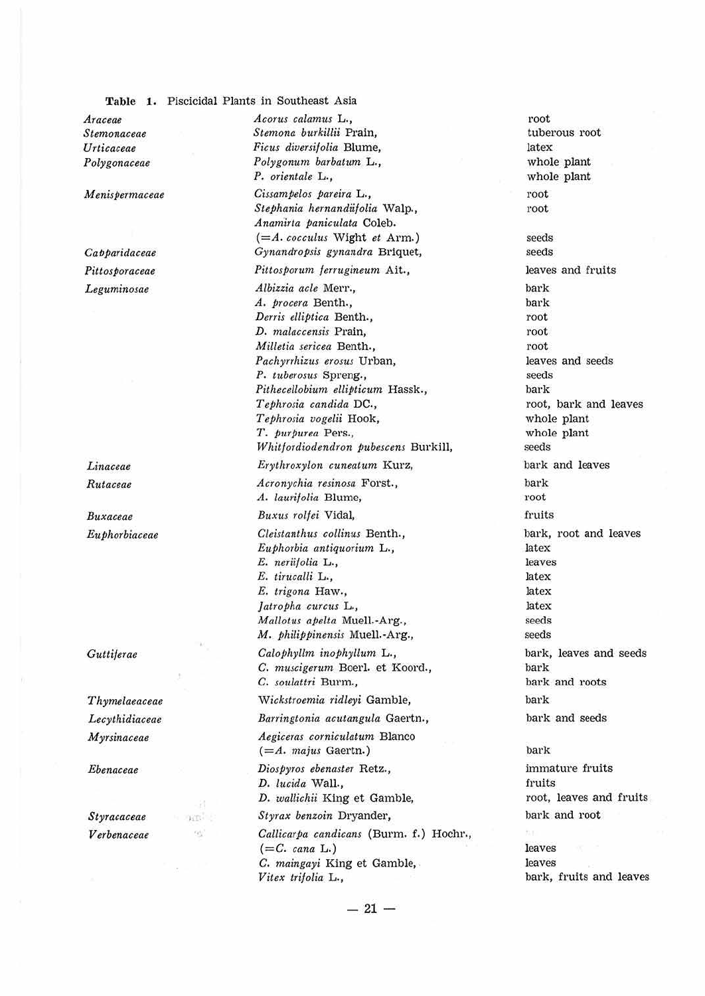**Table 1,** Piscicidal Plants in Southeast Asia

*Araceae Stemonaceae Urticaceae Polygonaceae* 

*M enisPermaceae* 

*CafJparidaceae Pittosporaceae Leguminosae* 

*Litiaceae Rutaceae* 

*Buxaceae EttPhorbiaceae* 

*Guttiferae* 

*Thymelaeaceae Lecythidiaceae Myrsinaceae* 

*Ebenaceae* 

*Styracaceae V erbenaceae* 

' .

*Acorus calamtts* L., *Stemona burkillii* Prain, *FicttS diversif olia* Blume, *Polygonum barbatum* L., *P. orientale* L., *CissamPelos pareira* L., *Stephania hernandiifolia* Walp., *Anamirta paniculata* Coleb. *(=A. cocculus* Wight *et* Arm.) *Gynandropsis gy11andra* Briquet, *Pittosporum ferrngineum* Ait., *Albizzia acle* Merr., *A. procera* Benth., *Derris elliptica* Benth., *D. malaccensis Prain, Milletia sericea* Benth., *Pachyrrhizus erosus* Urban, *P. tuberostu* Spreng., *Pithecellobium ellipticum* Hassk., *Tephrosia candida* DC., *Tephrosia vogelii* Hook, *T. purpurea* Pers., *Whit/ ordiodendron Pubescens* Burk ill, *Erythroxylon cuneatum* Kurz, *Acronychia resinosa* Forst., *A. laurif olia* Blume, *Buxm rolfei* Vidal, *Cleistanthus collinus* Benth., *Euphorbia antiquorium* **L .,**  E. *neriifolia* L., *E. tirucalli* L., E. *trigona* Haw., *Jatropha curcus* L., *Mallotus apelta Muell.-Arg.*, *M. philippinensis* Muell.-Arg., *Calophyllm inoPhyllum* **L.,**  C. *muscigerum* Boerl. et Koord., C. *soulattri* Burm., *Wickstroemia ridleyi* Gamble, *Barringtonia acutangula* Gaertn., *Aegiceras corniculatum* Blanco (=A. majus Gaertn.) *Diospyros ebenaster* Retz., *D. lucida* Wall.,  $D.$  *wallichii* King et Gamble, Styrax benzoin Dryander, *Callicarpa candicans* (Burm. f.) Hochr.,  $(=C. \text{ cana L.})$ *C. maingayi* King et Gamble, . *Vitex trifolia* L.,

root tuberous root latex whole plant whole plant root root seeds seeds leaves and fruits bark bark root root root leaves and seeds seeds bark root, bark and leaves whole plant whole plant seeds bark and leaves bark root fruits bark, root and leaves latex leaves latex latex latex seeds seeds bark, leaves and seeds bark bark and roots bark bark and seeds ba1·k immature fruits fruits root, leaves and fruits bark and root leaves

leaves bark, fruits and leaves

 $- 21 -$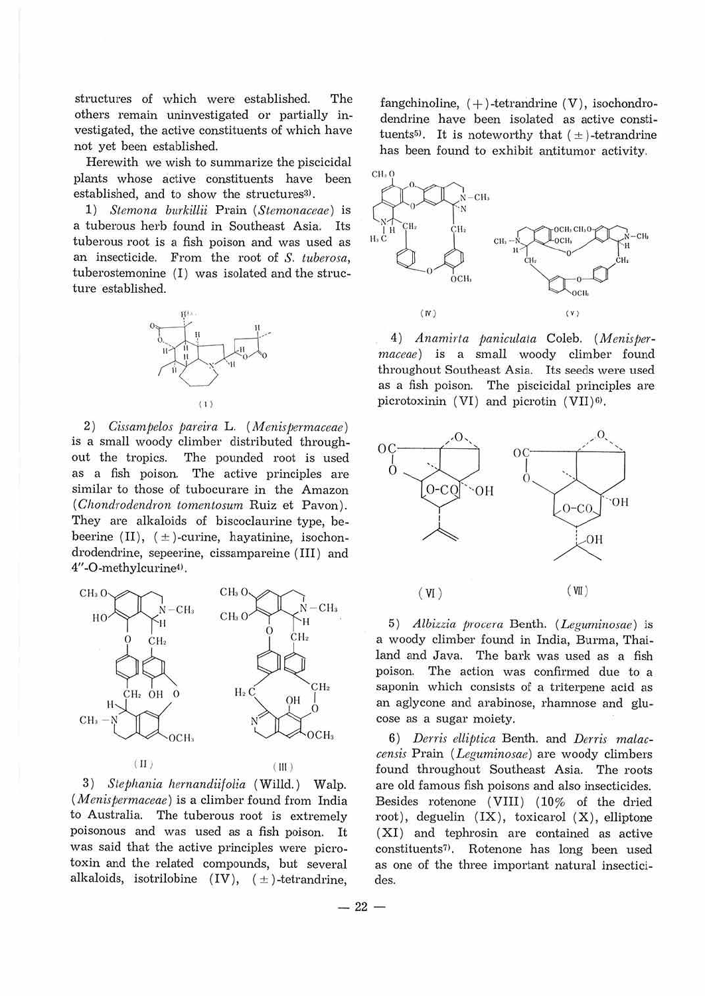structures of which were established. The others remain uninvestigated or partially investigated, the active constituents of which have not yet been established.

Herewith we wish to summarize the piscicidal plants whose active constituents have been established, and to show the structures<sup>3)</sup>.

1) *Stenwna burkillii* Prain *(Stemonaceae)* is a tuberous herb found in Southeast Asia. Its tuberous root is a fish poison and was used as an insecticide. From the root of *S. tuberosa,*  tuberostemonine  $(I)$  was isolated and the structure established.



2) *Cissampelos pareira* L. (*Menispermaceae*) is a small woody climber distributed throughout the tropics. The pounded root is used as a fish poison. The active principles are similar to those of tubocurare in the Amazon *(Chondrodendron tomentosum* Ruiz et Pavon). They are alkaloids of biscoclaurine type, bebeerine  $(II)$ ,  $(±)$ -curine, hayatinine, isochondrodendrine, sepeerine, cissampareine (III) and 4"-O-methylcurine<sup>4)</sup>.



3) *Stephania hemandiifolia* (Willd.) Walp. *(Menispermaceae)* is a climber found from India to Australia. The tuberous root is extremely poisonous and was used as a fish poison. It was said that the active principles were picrotoxin and the related compounds, but several alkaloids, isotrilobine  $(IV)$ ,  $(\pm)$ -tetrandrine,

fangchinoline,  $(+)$ -tetrandrine  $(V)$ , isochondrodendrine have been isolated as active constituents<sup>5)</sup>. It is noteworthy that  $(\pm)$ -tetrandrine has been found to exhibit antitumor activity.



4) *Anamirta paniculata* Coleb. (Menisper*maceae)* is a small woody climber found throughout Southeast Asia. Its seeds were used as a fish poison. The piscicidal principles are picrotoxinin (VI) and picrotin (VII)6).



5) *Albizzia procera* Benth. (*Leguminosae*) is a woody climber found in India, Burma, Thailand and Java. The bark was used as a fish poison. The action was confirmed due to a saponin which consists of a triterpene acid as an aglycone and arabinose, rhamnose and glucose as a sugar moiety.

6) Derris elliptica Benth. and Derris malac*censis* Prain ( *Leguminosae)* are woody climbers found throughout Southeast Asia. The roots are old famous fish poisons and also insecticides. Besides rotenone (VIII) (10% of the dried root), deguelin  $(IX)$ , toxicarol  $(X)$ , elliptone (XI) and tephrosin are contained as active constituents<sup>7)</sup>. Rotenone has long been used as one of the three important natural insecticides.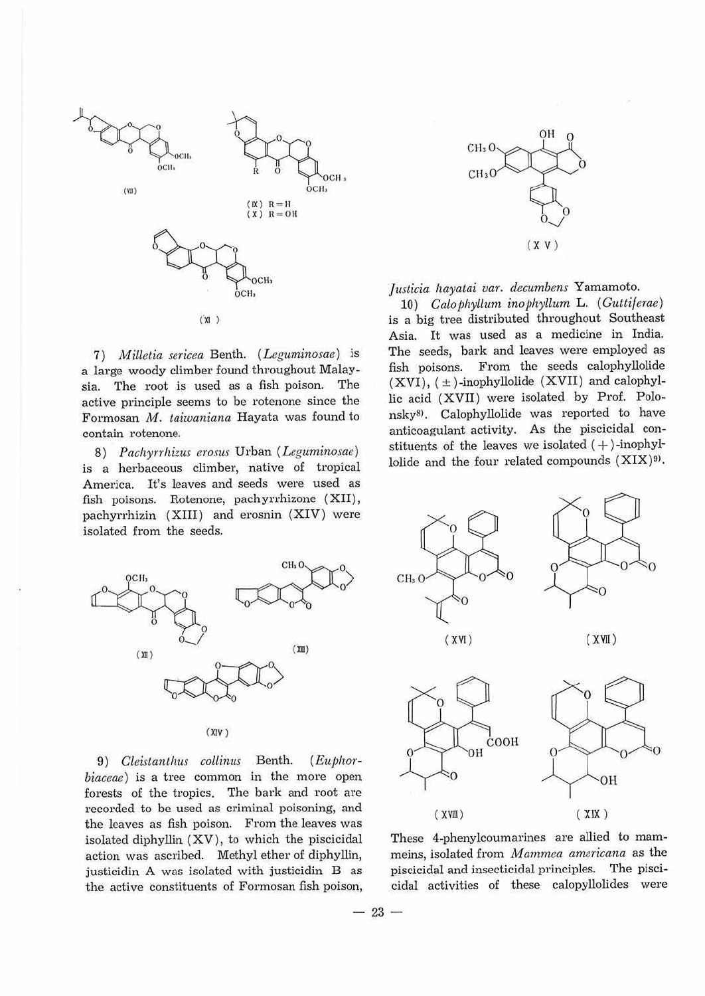

7) *Milletia sericea* Benth. *(Leguminosae)* is a large woody climber found throughout Malaysia. The root is used as a fish poison. The active principle seems to be rotenone since the Formosan M. taiwaniana Hayata was found to contain rotenone.

8) *Pachyrrhizus erosus* Urban (Leguminosae) is a herbaceous climber, native of tropical America. It's leaves and seeds were used as fish poisons. Rotenone, pachyrrhizone (XII), pachyrrhizin (XIII) and erosnin (XIV) were isolated from the seeds.



9) *Cleistanthus collinus* Benth. (Euphor*biaceae)* is a tree common in the more open forests of the tropics. The bark and root are recorded to be used as criminal poisoning, and the leaves as fish poison. From the leaves was isolated diphyllin (XV), to which the piscicidal action was ascribed. Methyl ether of diphyllin, justicidin A was isolated with justicidin B as the active constituents of Formosan fish poison,



*Justicia hayatai var. decumbens* Yamamoto.

10) *Calof1hyllum inophyllum* L. *(Gutti/erae)*  is a *big* tree distributed throughout Southeast Asia. It was used as a medicine in India. The seeds, bark and leaves were employed as fish poisons. From the seeds calophyllolide  $(XVI), (±)$ -inophyllolide  $(XVII)$  and calophyllic acid (XVII) were isolated by Pro£. Polonsky<sup>8)</sup>. Calophyllolide was reported to have anticoagulant activity. As the piscicidal constituents of the leaves we isolated  $(+)$ -inophyllolide and the four related compounds (XIX)9>.



These 4-phenylcoumarines are allied to mammeins, isolated from *M ammea americana* as the piscicidal and insecticidal principles. The piscicidal activities of these calopyllolides were